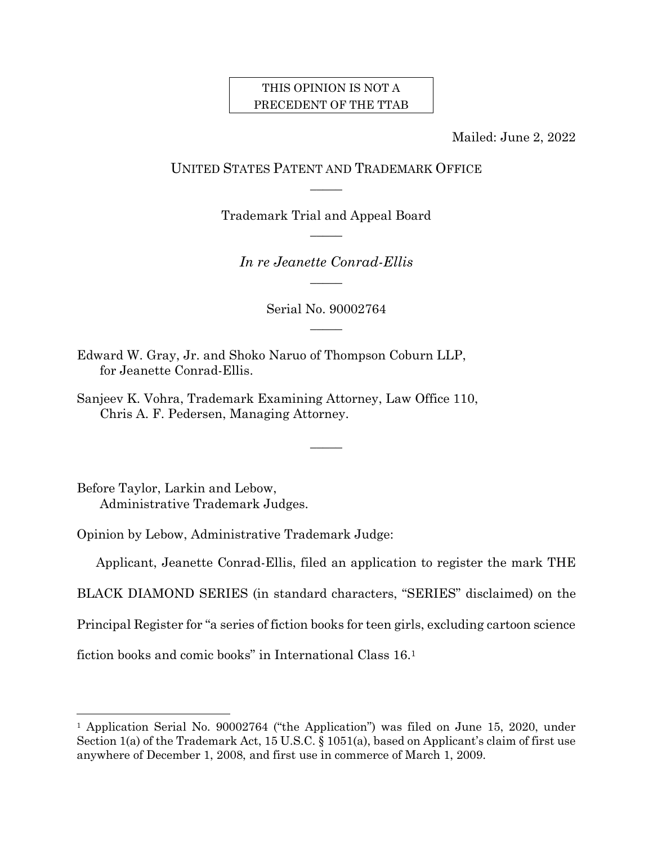## THIS OPINION IS NOT A PRECEDENT OF THE TTAB

Mailed: June 2, 2022

# UNITED STATES PATENT AND TRADEMARK OFFICE  $\overline{\phantom{a}}$

Trademark Trial and Appeal Board  $\mathcal{L}$ 

*In re Jeanette Conrad-Ellis*  $\overline{\phantom{a}}$ 

> Serial No. 90002764  $\mathcal{L}$

> > $\mathcal{L}$

Edward W. Gray, Jr. and Shoko Naruo of Thompson Coburn LLP, for Jeanette Conrad-Ellis.

Sanjeev K. Vohra, Trademark Examining Attorney, Law Office 110, Chris A. F. Pedersen, Managing Attorney.

Before Taylor, Larkin and Lebow, Administrative Trademark Judges.

l

Opinion by Lebow, Administrative Trademark Judge:

Applicant, Jeanette Conrad-Ellis, filed an application to register the mark THE

BLACK DIAMOND SERIES (in standard characters, "SERIES" disclaimed) on the

Principal Register for "a series of fiction books for teen girls, excluding cartoon science

fiction books and comic books" in International Class 16.<sup>1</sup>

<sup>&</sup>lt;sup>1</sup> Application Serial No. 90002764 ("the Application") was filed on June 15, 2020, under Section 1(a) of the Trademark Act, 15 U.S.C. § 1051(a), based on Applicant's claim of first use anywhere of December 1, 2008, and first use in commerce of March 1, 2009.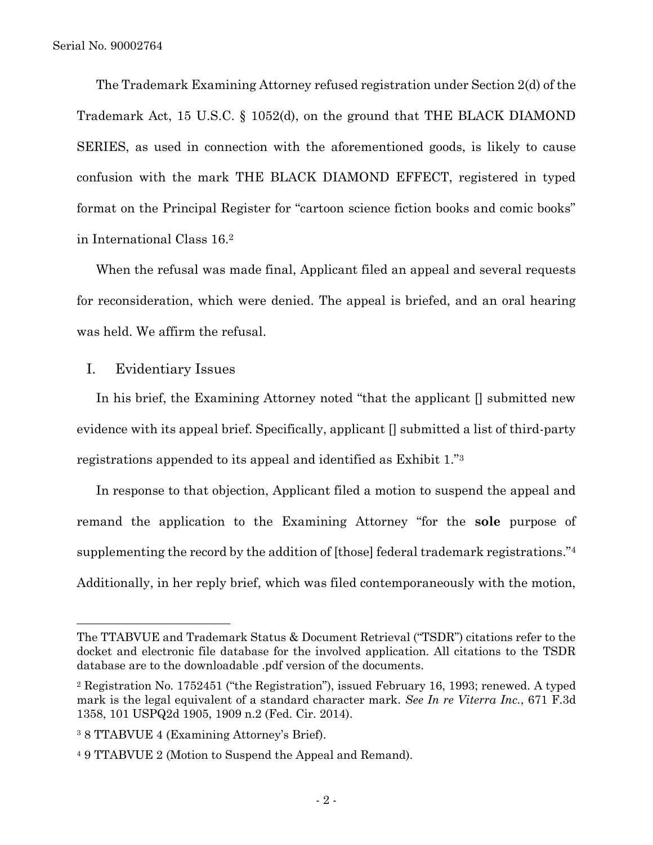The Trademark Examining Attorney refused registration under Section 2(d) of the Trademark Act, 15 U.S.C. § 1052(d), on the ground that THE BLACK DIAMOND SERIES, as used in connection with the aforementioned goods, is likely to cause confusion with the mark THE BLACK DIAMOND EFFECT, registered in typed format on the Principal Register for "cartoon science fiction books and comic books" in International Class 16.<sup>2</sup>

When the refusal was made final, Applicant filed an appeal and several requests for reconsideration, which were denied. The appeal is briefed, and an oral hearing was held. We affirm the refusal.

I. Evidentiary Issues

l

In his brief, the Examining Attorney noted "that the applicant [] submitted new evidence with its appeal brief. Specifically, applicant [] submitted a list of third-party registrations appended to its appeal and identified as Exhibit 1."<sup>3</sup>

In response to that objection, Applicant filed a motion to suspend the appeal and remand the application to the Examining Attorney "for the **sole** purpose of supplementing the record by the addition of [those] federal trademark registrations."<sup>4</sup> Additionally, in her reply brief, which was filed contemporaneously with the motion,

The TTABVUE and Trademark Status & Document Retrieval ("TSDR") citations refer to the docket and electronic file database for the involved application. All citations to the TSDR database are to the downloadable .pdf version of the documents.

<sup>2</sup> Registration No. 1752451 ("the Registration"), issued February 16, 1993; renewed. A typed mark is the legal equivalent of a standard character mark. *See In re Viterra Inc.*, 671 F.3d 1358, 101 USPQ2d 1905, 1909 n.2 (Fed. Cir. 2014).

<sup>3</sup> 8 TTABVUE 4 (Examining Attorney's Brief).

<sup>4</sup> 9 TTABVUE 2 (Motion to Suspend the Appeal and Remand).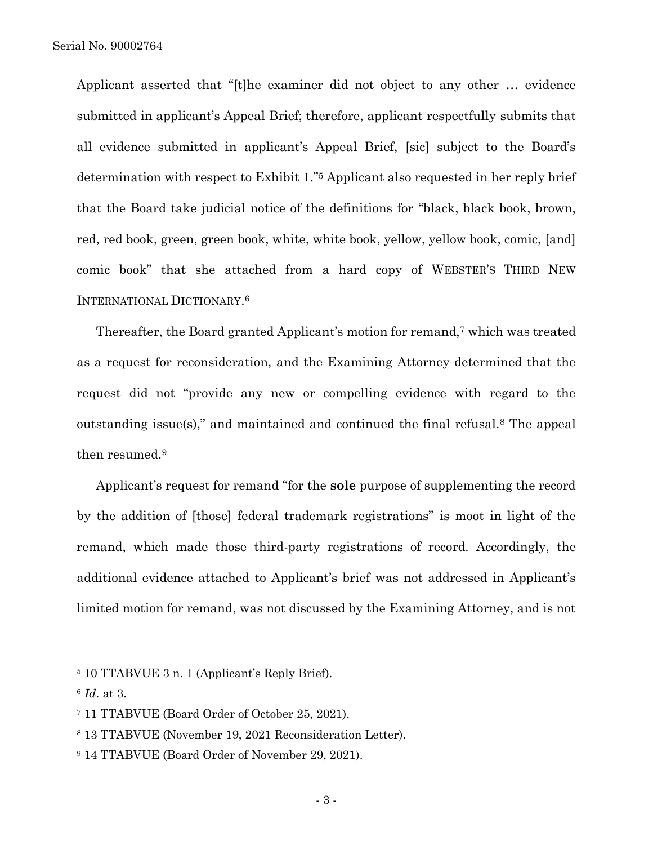Applicant asserted that "[t]he examiner did not object to any other … evidence submitted in applicant's Appeal Brief; therefore, applicant respectfully submits that all evidence submitted in applicant's Appeal Brief, [sic] subject to the Board's determination with respect to Exhibit 1."<sup>5</sup> Applicant also requested in her reply brief that the Board take judicial notice of the definitions for "black, black book, brown, red, red book, green, green book, white, white book, yellow, yellow book, comic, [and] comic book" that she attached from a hard copy of WEBSTER'S THIRD NEW INTERNATIONAL DICTIONARY. 6

Thereafter, the Board granted Applicant's motion for remand,<sup>7</sup> which was treated as a request for reconsideration, and the Examining Attorney determined that the request did not "provide any new or compelling evidence with regard to the outstanding issue(s)," and maintained and continued the final refusal.<sup>8</sup> The appeal then resumed.<sup>9</sup>

Applicant's request for remand "for the **sole** purpose of supplementing the record by the addition of [those] federal trademark registrations" is moot in light of the remand, which made those third-party registrations of record. Accordingly, the additional evidence attached to Applicant's brief was not addressed in Applicant's limited motion for remand, was not discussed by the Examining Attorney, and is not

<sup>5</sup> 10 TTABVUE 3 n. 1 (Applicant's Reply Brief).

<sup>6</sup> *Id*. at 3.

<sup>7</sup> 11 TTABVUE (Board Order of October 25, 2021).

<sup>8</sup> 13 TTABVUE (November 19, 2021 Reconsideration Letter).

<sup>9</sup> 14 TTABVUE (Board Order of November 29, 2021).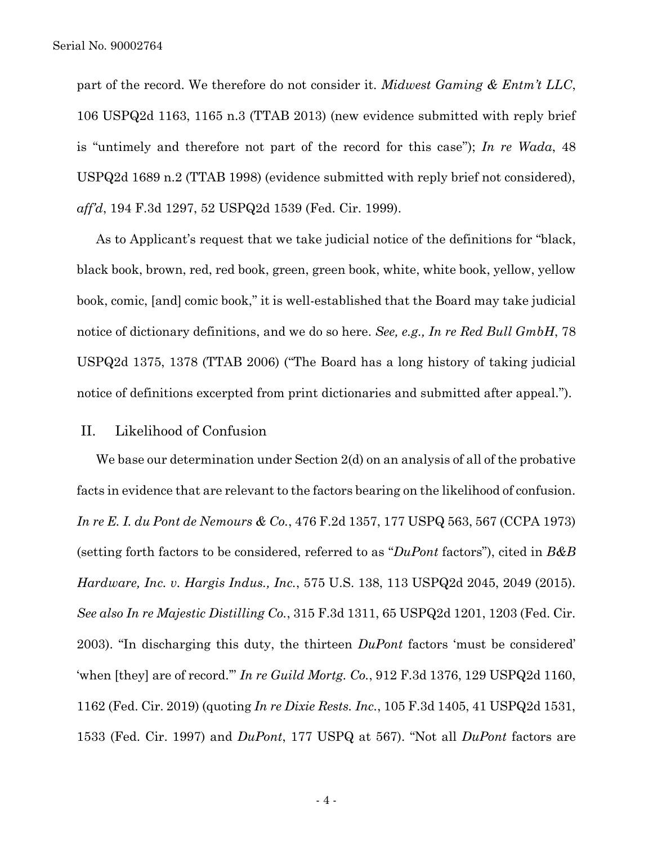part of the record. We therefore do not consider it. *Midwest Gaming & Entm't LLC*, 106 USPQ2d 1163, 1165 n.3 (TTAB 2013) (new evidence submitted with reply brief is "untimely and therefore not part of the record for this case"); *In re Wada*, 48 USPQ2d 1689 n.2 (TTAB 1998) (evidence submitted with reply brief not considered), *aff'd*, 194 F.3d 1297, 52 USPQ2d 1539 (Fed. Cir. 1999).

As to Applicant's request that we take judicial notice of the definitions for "black, black book, brown, red, red book, green, green book, white, white book, yellow, yellow book, comic, [and] comic book," it is well-established that the Board may take judicial notice of dictionary definitions, and we do so here. *See, e.g., In re Red Bull GmbH*, 78 USPQ2d 1375, 1378 (TTAB 2006) ("The Board has a long history of taking judicial notice of definitions excerpted from print dictionaries and submitted after appeal.").

### II. Likelihood of Confusion

We base our determination under Section 2(d) on an analysis of all of the probative facts in evidence that are relevant to the factors bearing on the likelihood of confusion. *In re E. I. du Pont de Nemours & Co.*, 476 F.2d 1357, 177 USPQ 563, 567 (CCPA 1973) (setting forth factors to be considered, referred to as "*DuPont* factors"), cited in *B&B Hardware, Inc. v. Hargis Indus., Inc.*, 575 U.S. 138, 113 USPQ2d 2045, 2049 (2015). *See also In re Majestic Distilling Co.*, 315 F.3d 1311, 65 USPQ2d 1201, 1203 (Fed. Cir. 2003). "In discharging this duty, the thirteen *DuPont* factors 'must be considered' 'when [they] are of record.'" *In re Guild Mortg. Co.*, 912 F.3d 1376, 129 USPQ2d 1160, 1162 (Fed. Cir. 2019) (quoting *In re Dixie Rests. Inc.*, 105 F.3d 1405, 41 USPQ2d 1531, 1533 (Fed. Cir. 1997) and *DuPont*, 177 USPQ at 567). "Not all *DuPont* factors are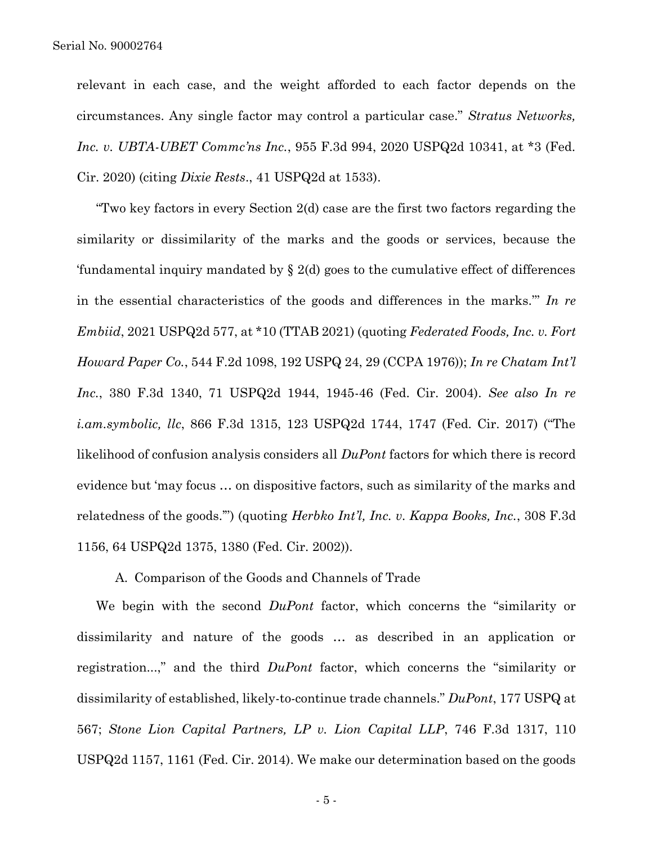#### Serial No. 90002764

relevant in each case, and the weight afforded to each factor depends on the circumstances. Any single factor may control a particular case." *Stratus Networks, Inc. v. UBTA-UBET Commc'ns Inc.*, 955 F.3d 994, 2020 USPQ2d 10341, at \*3 (Fed. Cir. 2020) (citing *Dixie Rests*., 41 USPQ2d at 1533).

"Two key factors in every Section 2(d) case are the first two factors regarding the similarity or dissimilarity of the marks and the goods or services, because the 'fundamental inquiry mandated by  $\S 2(d)$  goes to the cumulative effect of differences in the essential characteristics of the goods and differences in the marks.'" *In re Embiid*, 2021 USPQ2d 577, at \*10 (TTAB 2021) (quoting *Federated Foods, Inc. v. Fort Howard Paper Co.*, 544 F.2d 1098, 192 USPQ 24, 29 (CCPA 1976)); *In re Chatam Int'l Inc.*, 380 F.3d 1340, 71 USPQ2d 1944, 1945-46 (Fed. Cir. 2004). *See also In re i.am.symbolic, llc*, 866 F.3d 1315, 123 USPQ2d 1744, 1747 (Fed. Cir. 2017) ("The likelihood of confusion analysis considers all *DuPont* factors for which there is record evidence but 'may focus … on dispositive factors, such as similarity of the marks and relatedness of the goods.'") (quoting *Herbko Int'l, Inc. v. Kappa Books, Inc.*, 308 F.3d 1156, 64 USPQ2d 1375, 1380 (Fed. Cir. 2002)).

A. Comparison of the Goods and Channels of Trade

We begin with the second *DuPont* factor, which concerns the "similarity or dissimilarity and nature of the goods … as described in an application or registration...," and the third *DuPont* factor, which concerns the "similarity or dissimilarity of established, likely-to-continue trade channels." *DuPont*, 177 USPQ at 567; *Stone Lion Capital Partners, LP v. Lion Capital LLP*, 746 F.3d 1317, 110 USPQ2d 1157, 1161 (Fed. Cir. 2014). We make our determination based on the goods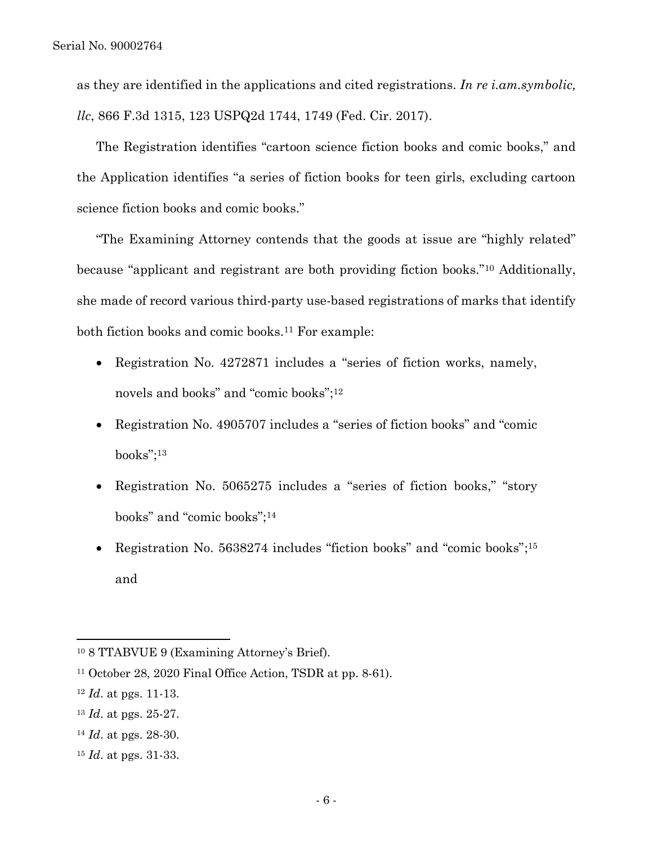as they are identified in the applications and cited registrations. *In re i.am.symbolic, llc*, 866 F.3d 1315, 123 USPQ2d 1744, 1749 (Fed. Cir. 2017).

The Registration identifies "cartoon science fiction books and comic books," and the Application identifies "a series of fiction books for teen girls, excluding cartoon science fiction books and comic books."

"The Examining Attorney contends that the goods at issue are "highly related" because "applicant and registrant are both providing fiction books."<sup>10</sup> Additionally, she made of record various third-party use-based registrations of marks that identify both fiction books and comic books.<sup>11</sup> For example:

- Registration No. 4272871 includes a "series of fiction works, namely, novels and books" and "comic books";<sup>12</sup>
- Registration No. 4905707 includes a "series of fiction books" and "comic books";<sup>13</sup>
- Registration No. 5065275 includes a "series of fiction books," "story books" and "comic books";<sup>14</sup>
- Registration No. 5638274 includes "fiction books" and "comic books";<sup>15</sup> and

<sup>10</sup> 8 TTABVUE 9 (Examining Attorney's Brief).

<sup>11</sup> October 28, 2020 Final Office Action, TSDR at pp. 8-61).

<sup>12</sup> *Id*. at pgs. 11-13.

<sup>13</sup> *Id*. at pgs. 25-27.

<sup>14</sup> *Id*. at pgs. 28-30.

<sup>15</sup> *Id*. at pgs. 31-33.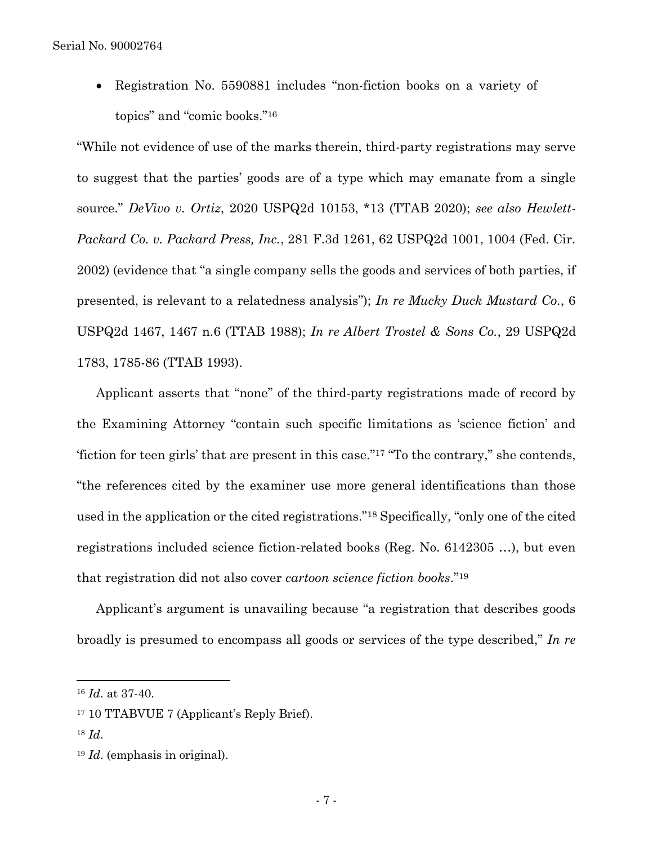• Registration No. 5590881 includes "non-fiction books on a variety of topics" and "comic books."<sup>16</sup>

"While not evidence of use of the marks therein, third-party registrations may serve to suggest that the parties' goods are of a type which may emanate from a single source." *DeVivo v. Ortiz*, 2020 USPQ2d 10153, \*13 (TTAB 2020); *see also Hewlett-Packard Co. v. Packard Press, Inc.*, 281 F.3d 1261, 62 USPQ2d 1001, 1004 (Fed. Cir. 2002) (evidence that "a single company sells the goods and services of both parties, if presented, is relevant to a relatedness analysis"); *In re Mucky Duck Mustard Co.*, 6 USPQ2d 1467, 1467 n.6 (TTAB 1988); *In re Albert Trostel & Sons Co.*, 29 USPQ2d 1783, 1785-86 (TTAB 1993).

Applicant asserts that "none" of the third-party registrations made of record by the Examining Attorney "contain such specific limitations as 'science fiction' and 'fiction for teen girls' that are present in this case." <sup>17</sup> "To the contrary," she contends, "the references cited by the examiner use more general identifications than those used in the application or the cited registrations."<sup>18</sup> Specifically, "only one of the cited registrations included science fiction-related books (Reg. No. 6142305 …), but even that registration did not also cover *cartoon science fiction books*."<sup>19</sup>

Applicant's argument is unavailing because "a registration that describes goods broadly is presumed to encompass all goods or services of the type described," *In re* 

<sup>16</sup> *Id*. at 37-40.

<sup>17</sup> 10 TTABVUE 7 (Applicant's Reply Brief).

<sup>18</sup> *Id*.

<sup>19</sup> *Id*. (emphasis in original).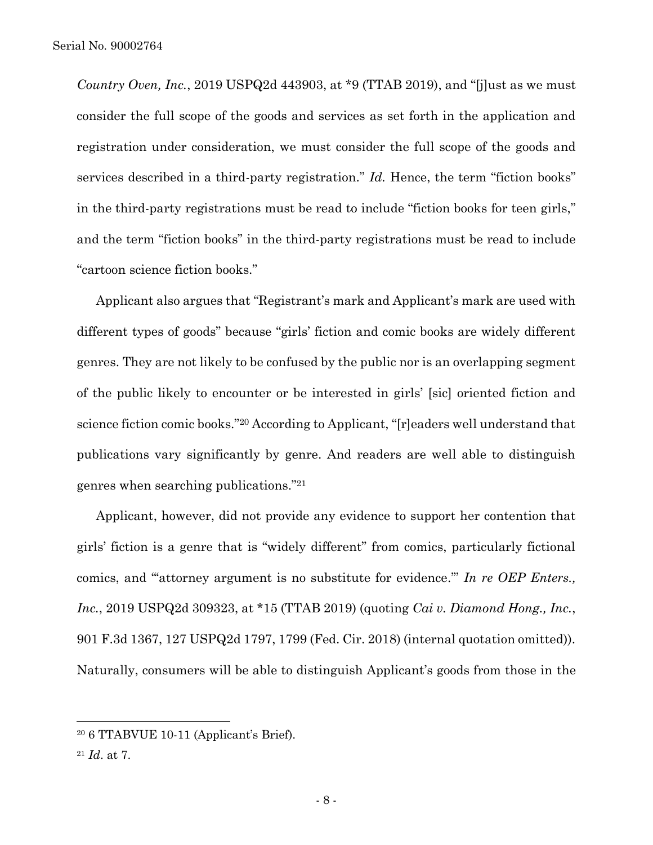*Country Oven, Inc.*, 2019 USPQ2d 443903, at \*9 (TTAB 2019), and "[j]ust as we must consider the full scope of the goods and services as set forth in the application and registration under consideration, we must consider the full scope of the goods and services described in a third-party registration." *Id.* Hence, the term "fiction books" in the third-party registrations must be read to include "fiction books for teen girls," and the term "fiction books" in the third-party registrations must be read to include "cartoon science fiction books."

Applicant also argues that "Registrant's mark and Applicant's mark are used with different types of goods" because "girls' fiction and comic books are widely different genres. They are not likely to be confused by the public nor is an overlapping segment of the public likely to encounter or be interested in girls' [sic] oriented fiction and science fiction comic books."<sup>20</sup> According to Applicant, "[r]eaders well understand that publications vary significantly by genre. And readers are well able to distinguish genres when searching publications."<sup>21</sup>

Applicant, however, did not provide any evidence to support her contention that girls' fiction is a genre that is "widely different" from comics, particularly fictional comics, and "'attorney argument is no substitute for evidence.'" *In re OEP Enters., Inc.*, 2019 USPQ2d 309323, at \*15 (TTAB 2019) (quoting *Cai v. Diamond Hong., Inc.*, 901 F.3d 1367, 127 USPQ2d 1797, 1799 (Fed. Cir. 2018) (internal quotation omitted)). Naturally, consumers will be able to distinguish Applicant's goods from those in the

<sup>20</sup> 6 TTABVUE 10-11 (Applicant's Brief).

<sup>21</sup> *Id*. at 7.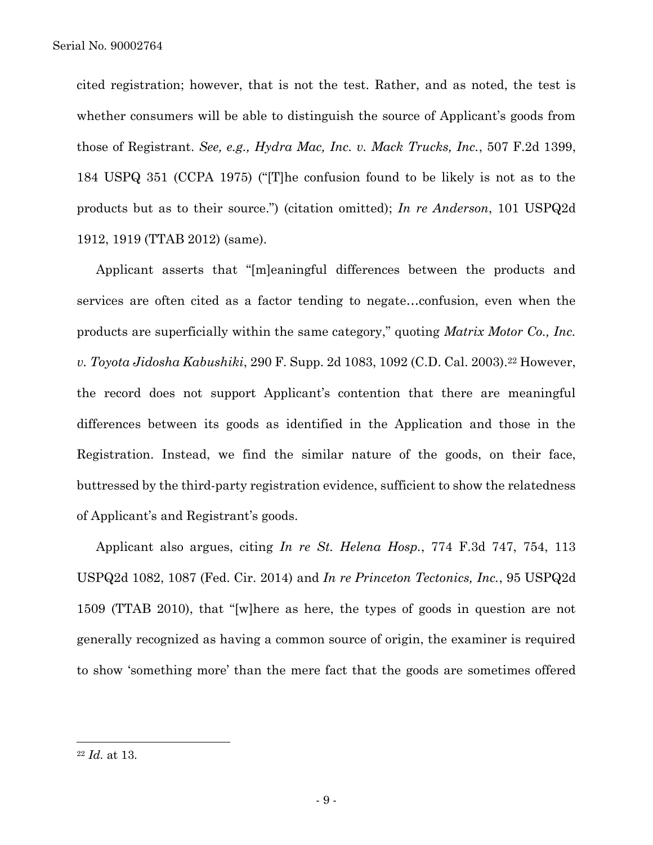cited registration; however, that is not the test. Rather, and as noted, the test is whether consumers will be able to distinguish the source of Applicant's goods from those of Registrant. *See, e.g., Hydra Mac, Inc. v. Mack Trucks, Inc.*, 507 F.2d 1399, 184 USPQ 351 (CCPA 1975) ("[T]he confusion found to be likely is not as to the products but as to their source.") (citation omitted); *In re Anderson*, 101 USPQ2d 1912, 1919 (TTAB 2012) (same).

Applicant asserts that "[m]eaningful differences between the products and services are often cited as a factor tending to negate…confusion, even when the products are superficially within the same category," quoting *Matrix Motor Co., Inc. v. Toyota Jidosha Kabushiki*, 290 F. Supp. 2d 1083, 1092 (C.D. Cal. 2003).<sup>22</sup> However, the record does not support Applicant's contention that there are meaningful differences between its goods as identified in the Application and those in the Registration. Instead, we find the similar nature of the goods, on their face, buttressed by the third-party registration evidence, sufficient to show the relatedness of Applicant's and Registrant's goods.

Applicant also argues, citing *In re St. Helena Hosp.*, 774 F.3d 747, 754, 113 USPQ2d 1082, 1087 (Fed. Cir. 2014) and *In re Princeton Tectonics, Inc.*, 95 USPQ2d 1509 (TTAB 2010), that "[w]here as here, the types of goods in question are not generally recognized as having a common source of origin, the examiner is required to show 'something more' than the mere fact that the goods are sometimes offered

<sup>22</sup> *Id.* at 13.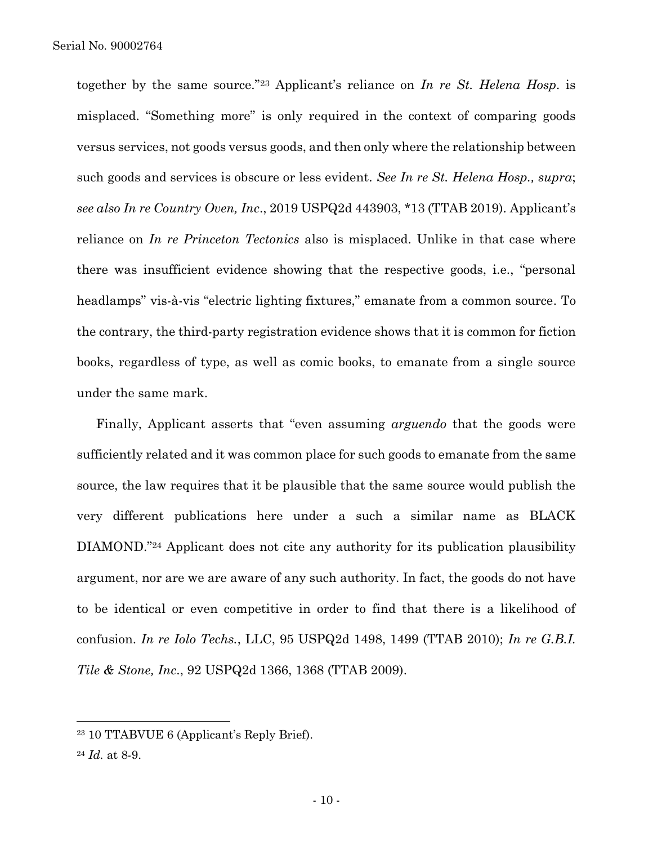together by the same source."<sup>23</sup> Applicant's reliance on *In re St. Helena Hosp*. is misplaced. "Something more" is only required in the context of comparing goods versus services, not goods versus goods, and then only where the relationship between such goods and services is obscure or less evident. *See In re St. Helena Hosp., supra*; *see also In re Country Oven, Inc*., 2019 USPQ2d 443903, \*13 (TTAB 2019). Applicant's reliance on *In re Princeton Tectonics* also is misplaced. Unlike in that case where there was insufficient evidence showing that the respective goods, i.e., "personal headlamps" vis-à-vis "electric lighting fixtures," emanate from a common source. To the contrary, the third-party registration evidence shows that it is common for fiction books, regardless of type, as well as comic books, to emanate from a single source under the same mark.

Finally, Applicant asserts that "even assuming *arguendo* that the goods were sufficiently related and it was common place for such goods to emanate from the same source, the law requires that it be plausible that the same source would publish the very different publications here under a such a similar name as BLACK DIAMOND."<sup>24</sup> Applicant does not cite any authority for its publication plausibility argument, nor are we are aware of any such authority. In fact, the goods do not have to be identical or even competitive in order to find that there is a likelihood of confusion. *In re Iolo Techs.*, LLC, 95 USPQ2d 1498, 1499 (TTAB 2010); *In re G.B.I. Tile & Stone, Inc*., 92 USPQ2d 1366, 1368 (TTAB 2009).

<sup>23</sup> 10 TTABVUE 6 (Applicant's Reply Brief).

<sup>24</sup> *Id.* at 8-9.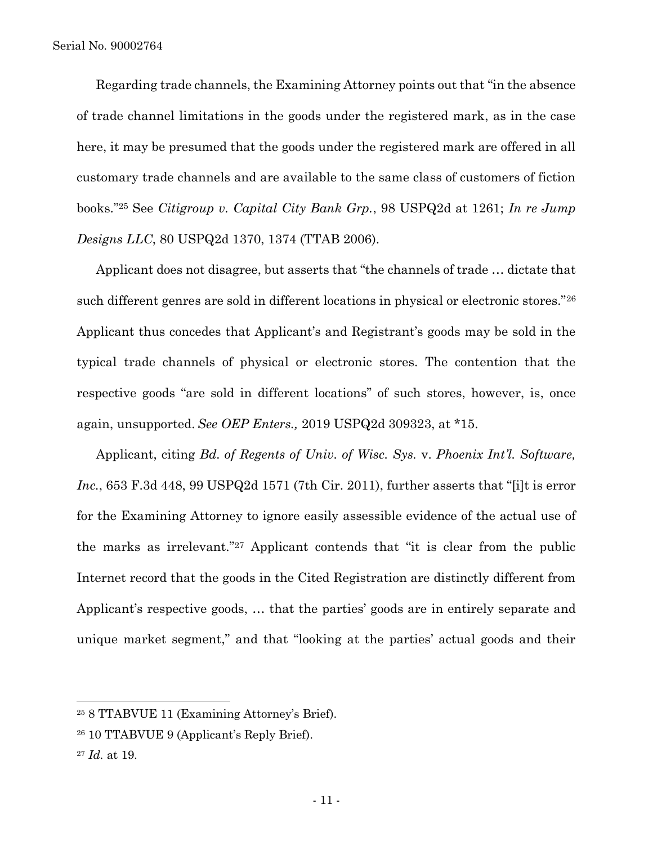Regarding trade channels, the Examining Attorney points out that "in the absence of trade channel limitations in the goods under the registered mark, as in the case here, it may be presumed that the goods under the registered mark are offered in all customary trade channels and are available to the same class of customers of fiction books."<sup>25</sup> See *Citigroup v. Capital City Bank Grp.*, 98 USPQ2d at 1261; *In re Jump Designs LLC*, 80 USPQ2d 1370, 1374 (TTAB 2006).

Applicant does not disagree, but asserts that "the channels of trade … dictate that such different genres are sold in different locations in physical or electronic stores."<sup>26</sup> Applicant thus concedes that Applicant's and Registrant's goods may be sold in the typical trade channels of physical or electronic stores. The contention that the respective goods "are sold in different locations" of such stores, however, is, once again, unsupported. *See OEP Enters.,* 2019 USPQ2d 309323, at \*15.

Applicant, citing *Bd. of Regents of Univ. of Wisc. Sys.* v. *Phoenix Int'l. Software, Inc.*, 653 F.3d 448, 99 USPQ2d 1571 (7th Cir. 2011), further asserts that "[i]t is error for the Examining Attorney to ignore easily assessible evidence of the actual use of the marks as irrelevant."<sup>27</sup> Applicant contends that "it is clear from the public Internet record that the goods in the Cited Registration are distinctly different from Applicant's respective goods, … that the parties' goods are in entirely separate and unique market segment," and that "looking at the parties' actual goods and their

<sup>25</sup> 8 TTABVUE 11 (Examining Attorney's Brief).

<sup>26</sup> 10 TTABVUE 9 (Applicant's Reply Brief).

<sup>27</sup> *Id.* at 19.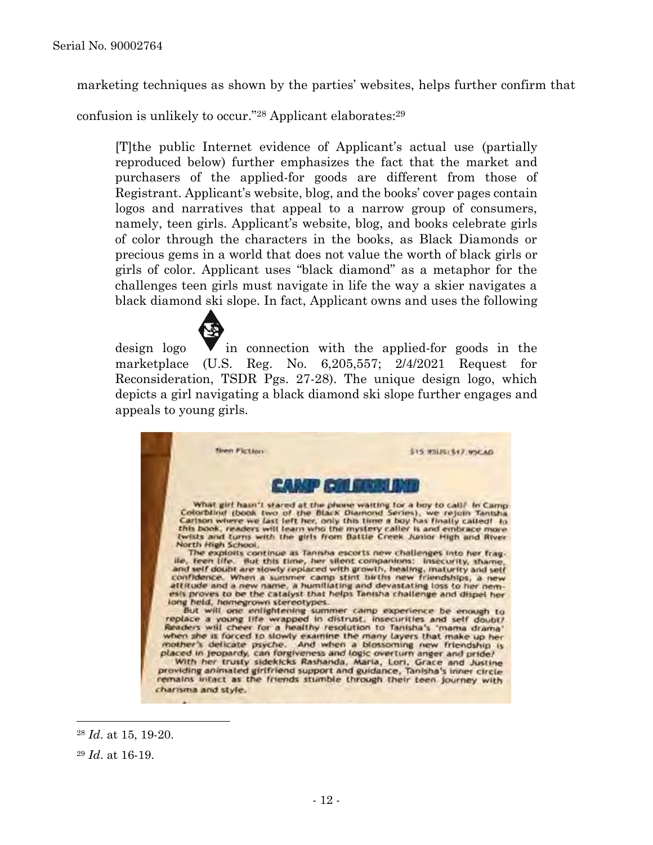marketing techniques as shown by the parties' websites, helps further confirm that

confusion is unlikely to occur." <sup>28</sup> Applicant elaborates:<sup>29</sup>

[T]the public Internet evidence of Applicant's actual use (partially reproduced below) further emphasizes the fact that the market and purchasers of the applied-for goods are different from those of Registrant. Applicant's website, blog, and the books' cover pages contain logos and narratives that appeal to a narrow group of consumers, namely, teen girls. Applicant's website, blog, and books celebrate girls of color through the characters in the books, as Black Diamonds or precious gems in a world that does not value the worth of black girls or girls of color. Applicant uses "black diamond" as a metaphor for the challenges teen girls must navigate in life the way a skier navigates a black diamond ski slope. In fact, Applicant owns and uses the following

design logo  $\blacktriangledown$  in connection with the applied-for goods in the marketplace (U.S. Reg. No. 6,205,557; 2/4/2021 Request for Reconsideration, TSDR Pgs. 27-28). The unique design logo, which depicts a girl navigating a black diamond ski slope further engages and appeals to young girls.



<sup>28</sup> *Id*. at 15, 19-20.

<sup>29</sup> *Id*. at 16-19.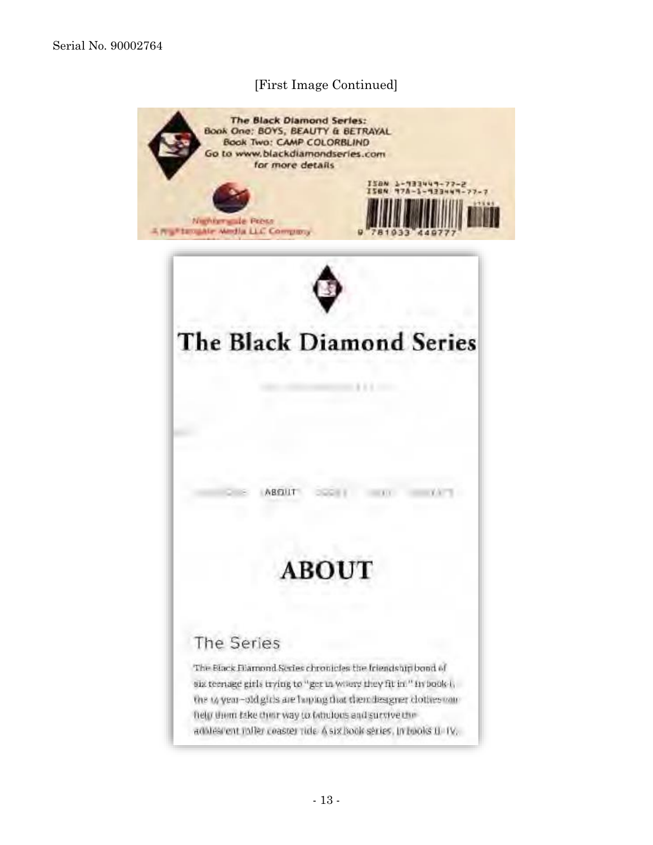# [First Image Continued]

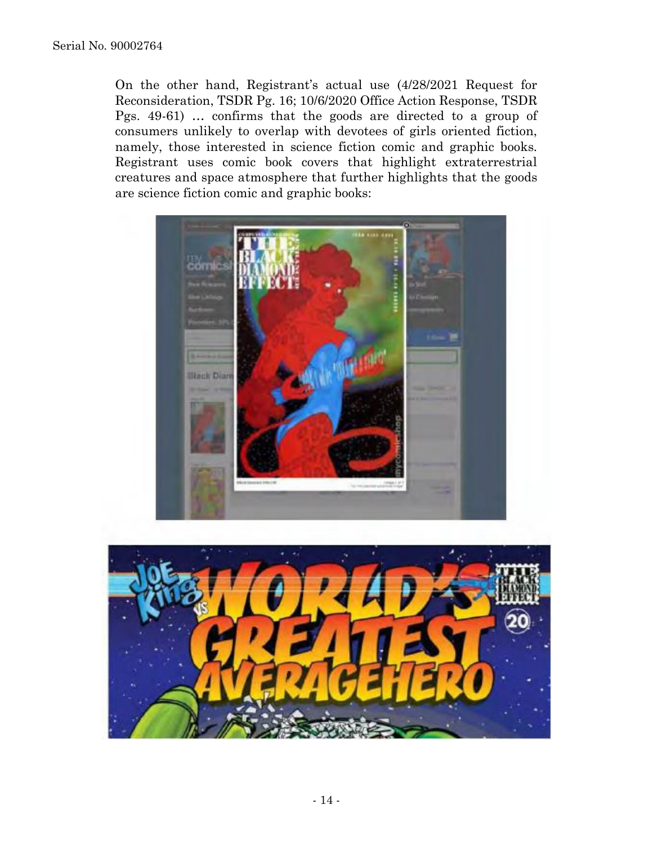On the other hand, Registrant's actual use (4/28/2021 Request for Reconsideration, TSDR Pg. 16; 10/6/2020 Office Action Response, TSDR Pgs. 49-61) … confirms that the goods are directed to a group of consumers unlikely to overlap with devotees of girls oriented fiction, namely, those interested in science fiction comic and graphic books. Registrant uses comic book covers that highlight extraterrestrial creatures and space atmosphere that further highlights that the goods are science fiction comic and graphic books:



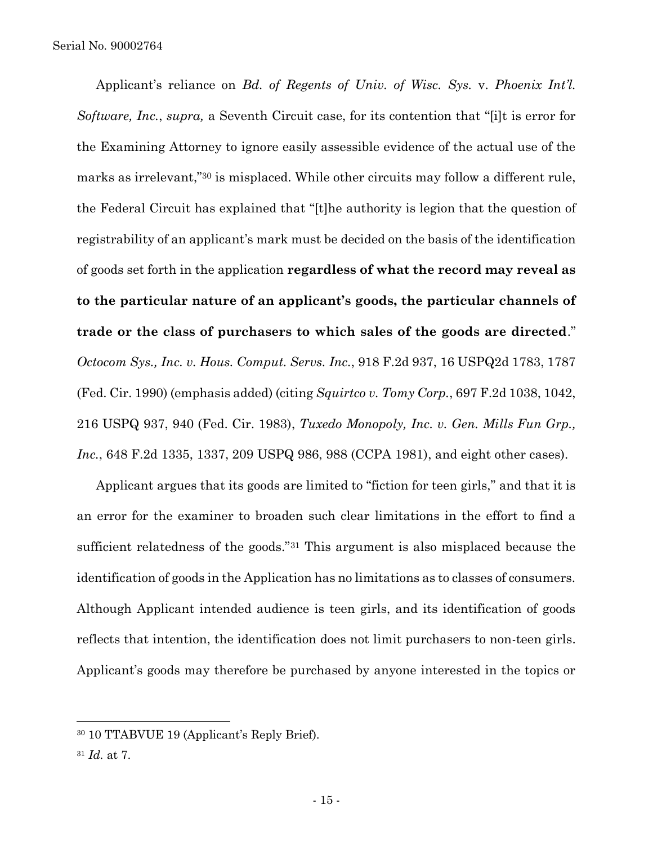Applicant's reliance on *Bd. of Regents of Univ. of Wisc. Sys.* v. *Phoenix Int'l. Software, Inc.*, *supra,* a Seventh Circuit case, for its contention that "[i]t is error for the Examining Attorney to ignore easily assessible evidence of the actual use of the marks as irrelevant,"<sup>30</sup> is misplaced. While other circuits may follow a different rule, the Federal Circuit has explained that "[t]he authority is legion that the question of registrability of an applicant's mark must be decided on the basis of the identification of goods set forth in the application **regardless of what the record may reveal as to the particular nature of an applicant's goods, the particular channels of trade or the class of purchasers to which sales of the goods are directed**." *Octocom Sys., Inc. v. Hous. Comput. Servs. Inc.*, 918 F.2d 937, 16 USPQ2d 1783, 1787 (Fed. Cir. 1990) (emphasis added) (citing *Squirtco v. Tomy Corp.*, 697 F.2d 1038, 1042, 216 USPQ 937, 940 (Fed. Cir. 1983), *Tuxedo Monopoly, Inc. v. Gen. Mills Fun Grp., Inc.*, 648 F.2d 1335, 1337, 209 USPQ 986, 988 (CCPA 1981), and eight other cases).

Applicant argues that its goods are limited to "fiction for teen girls," and that it is an error for the examiner to broaden such clear limitations in the effort to find a sufficient relatedness of the goods."<sup>31</sup> This argument is also misplaced because the identification of goods in the Application has no limitations as to classes of consumers. Although Applicant intended audience is teen girls, and its identification of goods reflects that intention, the identification does not limit purchasers to non-teen girls. Applicant's goods may therefore be purchased by anyone interested in the topics or

<sup>30</sup> 10 TTABVUE 19 (Applicant's Reply Brief).

<sup>31</sup> *Id.* at 7.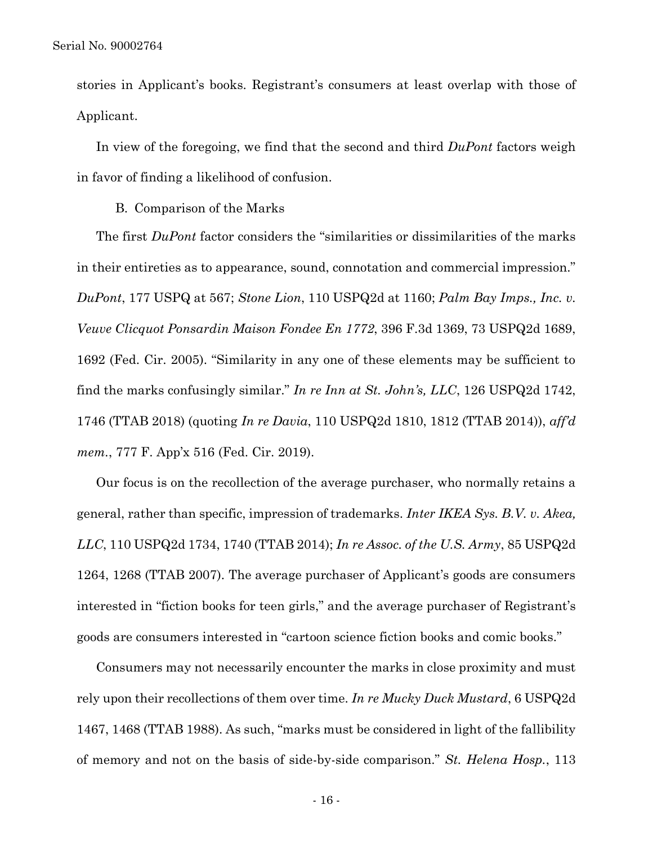stories in Applicant's books. Registrant's consumers at least overlap with those of Applicant.

In view of the foregoing, we find that the second and third *DuPont* factors weigh in favor of finding a likelihood of confusion.

B. Comparison of the Marks

The first *DuPont* factor considers the "similarities or dissimilarities of the marks in their entireties as to appearance, sound, connotation and commercial impression." *DuPont*, 177 USPQ at 567; *Stone Lion*, 110 USPQ2d at 1160; *Palm Bay Imps., Inc. v. Veuve Clicquot Ponsardin Maison Fondee En 1772*, 396 F.3d 1369, 73 USPQ2d 1689, 1692 (Fed. Cir. 2005). "Similarity in any one of these elements may be sufficient to find the marks confusingly similar." *In re Inn at St. John's, LLC*, 126 USPQ2d 1742, 1746 (TTAB 2018) (quoting *In re Davia*, 110 USPQ2d 1810, 1812 (TTAB 2014)), *aff'd mem.*, 777 F. App'x 516 (Fed. Cir. 2019).

Our focus is on the recollection of the average purchaser, who normally retains a general, rather than specific, impression of trademarks. *Inter IKEA Sys. B.V. v. Akea, LLC*, 110 USPQ2d 1734, 1740 (TTAB 2014); *In re Assoc. of the U.S. Army*, 85 USPQ2d 1264, 1268 (TTAB 2007). The average purchaser of Applicant's goods are consumers interested in "fiction books for teen girls," and the average purchaser of Registrant's goods are consumers interested in "cartoon science fiction books and comic books."

Consumers may not necessarily encounter the marks in close proximity and must rely upon their recollections of them over time. *In re Mucky Duck Mustard*, 6 USPQ2d 1467, 1468 (TTAB 1988). As such, "marks must be considered in light of the fallibility of memory and not on the basis of side-by-side comparison." *St. Helena Hosp.*, 113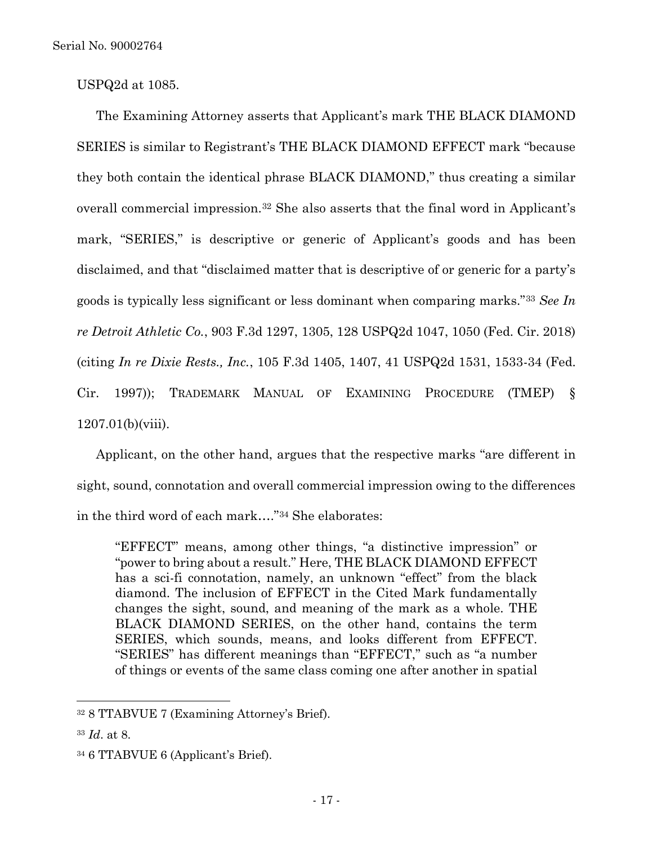USPQ2d at 1085.

The Examining Attorney asserts that Applicant's mark THE BLACK DIAMOND SERIES is similar to Registrant's THE BLACK DIAMOND EFFECT mark "because they both contain the identical phrase BLACK DIAMOND," thus creating a similar overall commercial impression.<sup>32</sup> She also asserts that the final word in Applicant's mark, "SERIES," is descriptive or generic of Applicant's goods and has been disclaimed, and that "disclaimed matter that is descriptive of or generic for a party's goods is typically less significant or less dominant when comparing marks."<sup>33</sup> *See In re Detroit Athletic Co.*, 903 F.3d 1297, 1305, 128 USPQ2d 1047, 1050 (Fed. Cir. 2018) (citing *In re Dixie Rests., Inc.*, 105 F.3d 1405, 1407, 41 USPQ2d 1531, 1533-34 (Fed. Cir. 1997)); TRADEMARK MANUAL OF EXAMINING PROCEDURE (TMEP) § 1207.01(b)(viii).

Applicant, on the other hand, argues that the respective marks "are different in sight, sound, connotation and overall commercial impression owing to the differences in the third word of each mark…."<sup>34</sup> She elaborates:

"EFFECT" means, among other things, "a distinctive impression" or "power to bring about a result." Here, THE BLACK DIAMOND EFFECT has a sci-fi connotation, namely, an unknown "effect" from the black diamond. The inclusion of EFFECT in the Cited Mark fundamentally changes the sight, sound, and meaning of the mark as a whole. THE BLACK DIAMOND SERIES, on the other hand, contains the term SERIES, which sounds, means, and looks different from EFFECT. "SERIES" has different meanings than "EFFECT," such as "a number of things or events of the same class coming one after another in spatial

<sup>32</sup> 8 TTABVUE 7 (Examining Attorney's Brief).

<sup>33</sup> *Id*. at 8.

<sup>34</sup> 6 TTABVUE 6 (Applicant's Brief).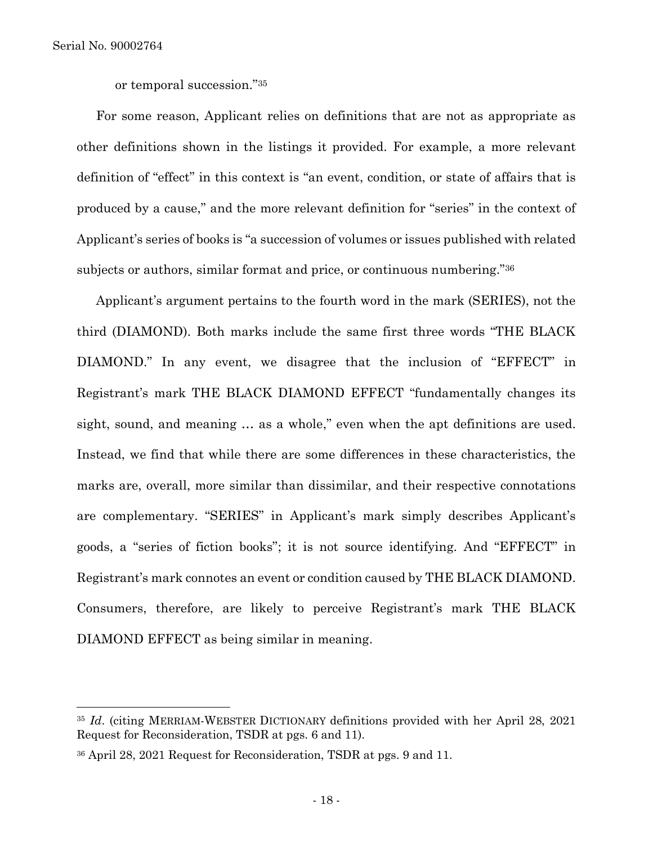l

or temporal succession."<sup>35</sup>

For some reason, Applicant relies on definitions that are not as appropriate as other definitions shown in the listings it provided. For example, a more relevant definition of "effect" in this context is "an event, condition, or state of affairs that is produced by a cause," and the more relevant definition for "series" in the context of Applicant's series of books is "a succession of volumes or issues published with related subjects or authors, similar format and price, or continuous numbering."<sup>36</sup>

Applicant's argument pertains to the fourth word in the mark (SERIES), not the third (DIAMOND). Both marks include the same first three words "THE BLACK DIAMOND." In any event, we disagree that the inclusion of "EFFECT" in Registrant's mark THE BLACK DIAMOND EFFECT "fundamentally changes its sight, sound, and meaning … as a whole," even when the apt definitions are used. Instead, we find that while there are some differences in these characteristics, the marks are, overall, more similar than dissimilar, and their respective connotations are complementary. "SERIES" in Applicant's mark simply describes Applicant's goods, a "series of fiction books"; it is not source identifying. And "EFFECT" in Registrant's mark connotes an event or condition caused by THE BLACK DIAMOND. Consumers, therefore, are likely to perceive Registrant's mark THE BLACK DIAMOND EFFECT as being similar in meaning.

<sup>35</sup> *Id*. (citing MERRIAM-WEBSTER DICTIONARY definitions provided with her April 28, 2021 Request for Reconsideration, TSDR at pgs. 6 and 11).

<sup>36</sup> April 28, 2021 Request for Reconsideration, TSDR at pgs. 9 and 11.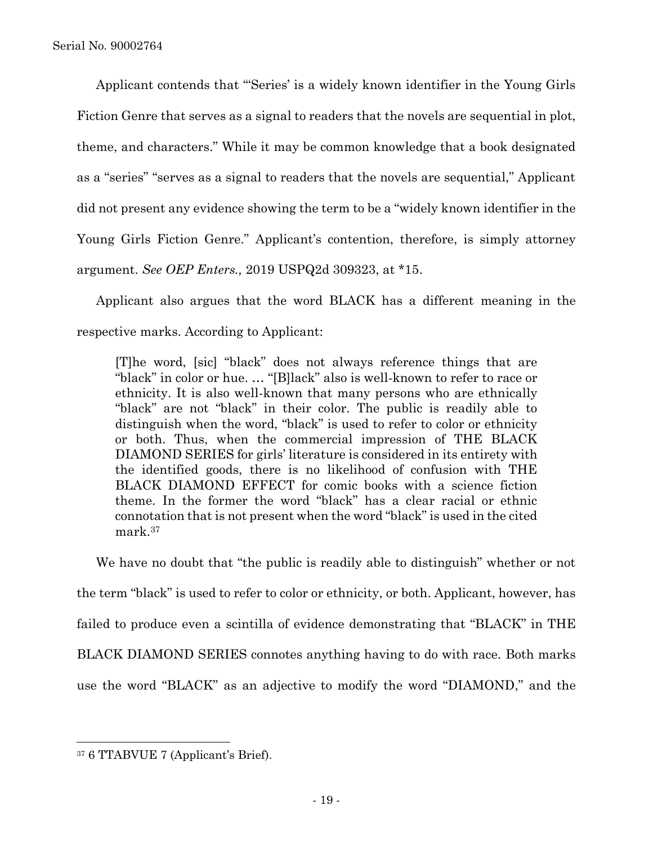Applicant contends that "'Series' is a widely known identifier in the Young Girls Fiction Genre that serves as a signal to readers that the novels are sequential in plot, theme, and characters." While it may be common knowledge that a book designated as a "series" "serves as a signal to readers that the novels are sequential," Applicant did not present any evidence showing the term to be a "widely known identifier in the Young Girls Fiction Genre." Applicant's contention, therefore, is simply attorney argument. *See OEP Enters.,* 2019 USPQ2d 309323, at \*15.

Applicant also argues that the word BLACK has a different meaning in the respective marks. According to Applicant:

[T]he word, [sic] "black" does not always reference things that are "black" in color or hue. … "[B]lack" also is well-known to refer to race or ethnicity. It is also well-known that many persons who are ethnically "black" are not "black" in their color. The public is readily able to distinguish when the word, "black" is used to refer to color or ethnicity or both. Thus, when the commercial impression of THE BLACK DIAMOND SERIES for girls' literature is considered in its entirety with the identified goods, there is no likelihood of confusion with THE BLACK DIAMOND EFFECT for comic books with a science fiction theme. In the former the word "black" has a clear racial or ethnic connotation that is not present when the word "black" is used in the cited mark.<sup>37</sup>

We have no doubt that "the public is readily able to distinguish" whether or not the term "black" is used to refer to color or ethnicity, or both. Applicant, however, has failed to produce even a scintilla of evidence demonstrating that "BLACK" in THE BLACK DIAMOND SERIES connotes anything having to do with race. Both marks use the word "BLACK" as an adjective to modify the word "DIAMOND," and the

<sup>37</sup> 6 TTABVUE 7 (Applicant's Brief).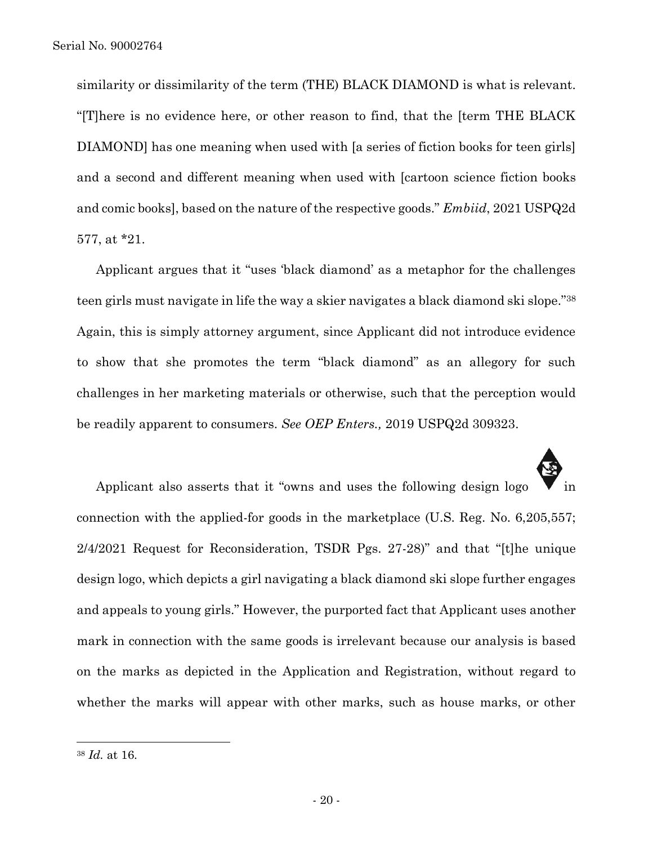similarity or dissimilarity of the term (THE) BLACK DIAMOND is what is relevant. "[T]here is no evidence here, or other reason to find, that the [term THE BLACK DIAMOND] has one meaning when used with [a series of fiction books for teen girls] and a second and different meaning when used with [cartoon science fiction books and comic books], based on the nature of the respective goods." *Embiid*, 2021 USPQ2d 577, at \*21.

Applicant argues that it "uses 'black diamond' as a metaphor for the challenges teen girls must navigate in life the way a skier navigates a black diamond ski slope." 38 Again, this is simply attorney argument, since Applicant did not introduce evidence to show that she promotes the term "black diamond" as an allegory for such challenges in her marketing materials or otherwise, such that the perception would be readily apparent to consumers. *See OEP Enters.,* 2019 USPQ2d 309323.

Applicant also asserts that it "owns and uses the following design logo connection with the applied-for goods in the marketplace (U.S. Reg. No. 6,205,557; 2/4/2021 Request for Reconsideration, TSDR Pgs. 27-28)" and that "[t]he unique design logo, which depicts a girl navigating a black diamond ski slope further engages and appeals to young girls." However, the purported fact that Applicant uses another mark in connection with the same goods is irrelevant because our analysis is based on the marks as depicted in the Application and Registration, without regard to whether the marks will appear with other marks, such as house marks, or other

<sup>38</sup> *Id.* at 16.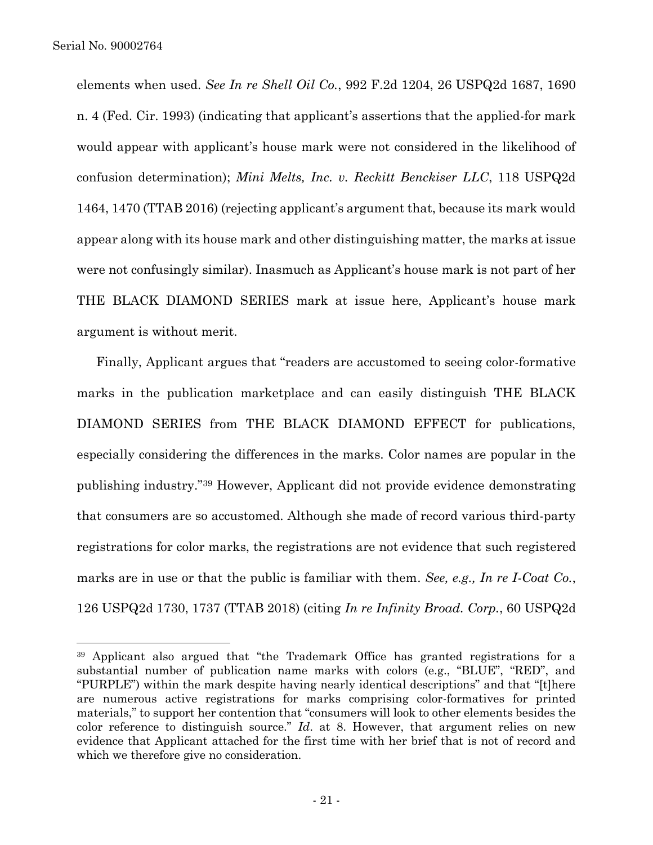l

elements when used. *See In re Shell Oil Co.*, 992 F.2d 1204, 26 USPQ2d 1687, 1690 n. 4 (Fed. Cir. 1993) (indicating that applicant's assertions that the applied-for mark would appear with applicant's house mark were not considered in the likelihood of confusion determination); *Mini Melts, Inc. v. Reckitt Benckiser LLC*, 118 USPQ2d 1464, 1470 (TTAB 2016) (rejecting applicant's argument that, because its mark would appear along with its house mark and other distinguishing matter, the marks at issue were not confusingly similar). Inasmuch as Applicant's house mark is not part of her THE BLACK DIAMOND SERIES mark at issue here, Applicant's house mark argument is without merit.

Finally, Applicant argues that "readers are accustomed to seeing color-formative marks in the publication marketplace and can easily distinguish THE BLACK DIAMOND SERIES from THE BLACK DIAMOND EFFECT for publications, especially considering the differences in the marks. Color names are popular in the publishing industry."<sup>39</sup> However, Applicant did not provide evidence demonstrating that consumers are so accustomed. Although she made of record various third-party registrations for color marks, the registrations are not evidence that such registered marks are in use or that the public is familiar with them. *See, e.g., In re I-Coat Co.*, 126 USPQ2d 1730, 1737 (TTAB 2018) (citing *In re Infinity Broad. Corp.*, 60 USPQ2d

<sup>39</sup> Applicant also argued that "the Trademark Office has granted registrations for a substantial number of publication name marks with colors (e.g., "BLUE", "RED", and "PURPLE") within the mark despite having nearly identical descriptions" and that "[t]here are numerous active registrations for marks comprising color-formatives for printed materials," to support her contention that "consumers will look to other elements besides the color reference to distinguish source." *Id*. at 8. However, that argument relies on new evidence that Applicant attached for the first time with her brief that is not of record and which we therefore give no consideration.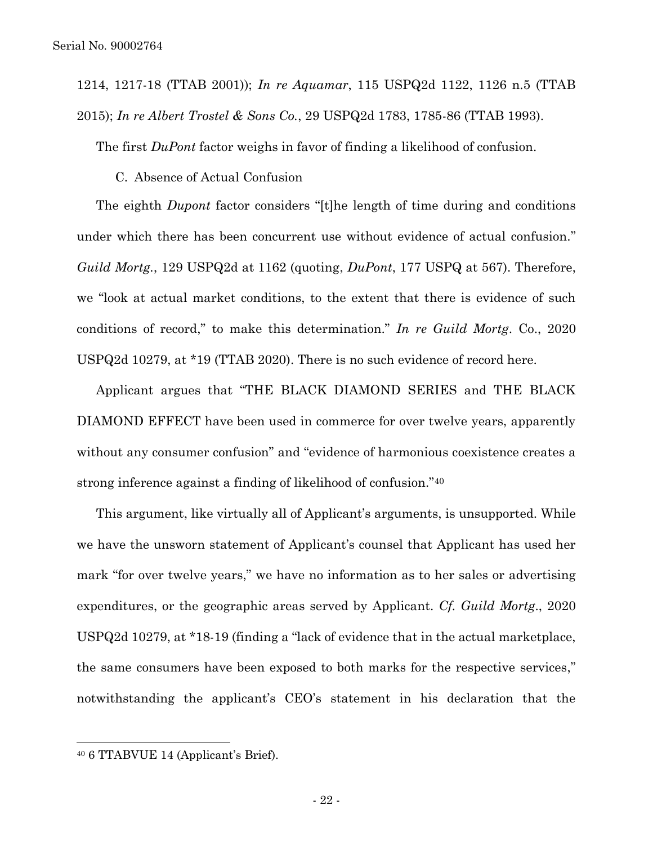1214, 1217-18 (TTAB 2001)); *In re Aquamar*, 115 USPQ2d 1122, 1126 n.5 (TTAB 2015); *In re Albert Trostel & Sons Co.*, 29 USPQ2d 1783, 1785-86 (TTAB 1993).

The first *DuPont* factor weighs in favor of finding a likelihood of confusion.

C. Absence of Actual Confusion

The eighth *Dupont* factor considers "[t]he length of time during and conditions under which there has been concurrent use without evidence of actual confusion." *Guild Mortg.*, 129 USPQ2d at 1162 (quoting, *DuPont*, 177 USPQ at 567). Therefore, we "look at actual market conditions, to the extent that there is evidence of such conditions of record," to make this determination." *In re Guild Mortg*. Co., 2020 USPQ2d 10279, at \*19 (TTAB 2020). There is no such evidence of record here.

Applicant argues that "THE BLACK DIAMOND SERIES and THE BLACK DIAMOND EFFECT have been used in commerce for over twelve years, apparently without any consumer confusion" and "evidence of harmonious coexistence creates a strong inference against a finding of likelihood of confusion."<sup>40</sup>

This argument, like virtually all of Applicant's arguments, is unsupported. While we have the unsworn statement of Applicant's counsel that Applicant has used her mark "for over twelve years," we have no information as to her sales or advertising expenditures, or the geographic areas served by Applicant. *Cf. Guild Mortg*., 2020 USPQ2d 10279, at \*18-19 (finding a "lack of evidence that in the actual marketplace, the same consumers have been exposed to both marks for the respective services," notwithstanding the applicant's CEO's statement in his declaration that the

<sup>40</sup> 6 TTABVUE 14 (Applicant's Brief).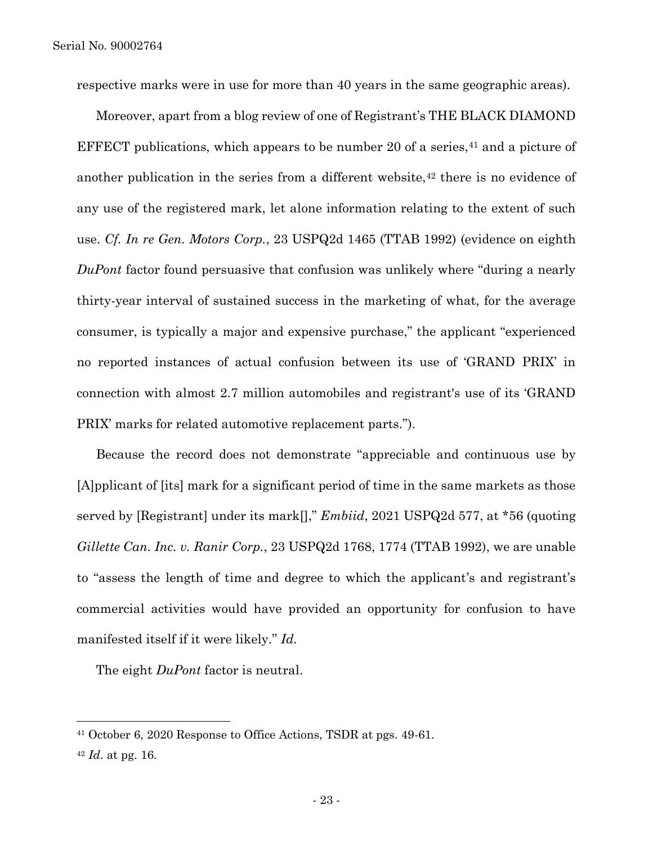respective marks were in use for more than 40 years in the same geographic areas).

Moreover, apart from a blog review of one of Registrant's THE BLACK DIAMOND EFFECT publications, which appears to be number 20 of a series,  $41$  and a picture of another publication in the series from a different website,<sup>42</sup> there is no evidence of any use of the registered mark, let alone information relating to the extent of such use. *Cf. In re Gen. Motors Corp.*, 23 USPQ2d 1465 (TTAB 1992) (evidence on eighth *DuPont* factor found persuasive that confusion was unlikely where "during a nearly thirty-year interval of sustained success in the marketing of what, for the average consumer, is typically a major and expensive purchase," the applicant "experienced no reported instances of actual confusion between its use of 'GRAND PRIX' in connection with almost 2.7 million automobiles and registrant's use of its 'GRAND PRIX' marks for related automotive replacement parts.").

Because the record does not demonstrate "appreciable and continuous use by [A]pplicant of [its] mark for a significant period of time in the same markets as those served by [Registrant] under its mark[]," *Embiid*, 2021 USPQ2d 577, at \*56 (quoting *Gillette Can. Inc. v. Ranir Corp.*, 23 USPQ2d 1768, 1774 (TTAB 1992), we are unable to "assess the length of time and degree to which the applicant's and registrant's commercial activities would have provided an opportunity for confusion to have manifested itself if it were likely." *Id.* 

The eight *DuPont* factor is neutral.

<sup>41</sup> October 6, 2020 Response to Office Actions, TSDR at pgs. 49-61.

<sup>42</sup> *Id*. at pg. 16.